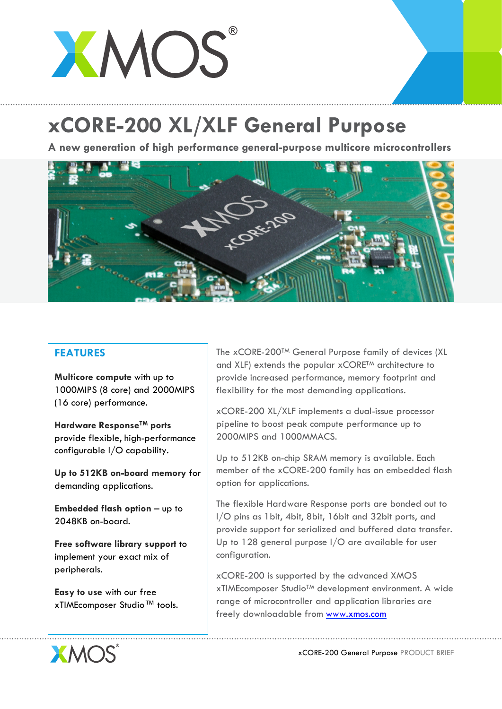## XMOS

## **xCORE-200 XL/XLF General Purpose**

**A new generation of high performance general-purpose multicore microcontrollers**



## **FEATURES**

**Multicore compute** with up to 1000MIPS (8 core) and 2000MIPS (16 core) performance.

**Hardware ResponseTM ports** provide flexible, high-performance configurable I/O capability.

**Up to 512KB on-board memory** for demanding applications.

**Embedded flash option** – up to 2048KB on-board.

**Free software library support** to implement your exact mix of peripherals.

**Easy to use** with our free xTIMEcomposer Studio™ tools. The xCORE-200TM General Purpose family of devices (XL and XLF) extends the popular xCORE<sup>TM</sup> architecture to provide increased performance, memory footprint and flexibility for the most demanding applications.

xCORE-200 XL/XLF implements a dual-issue processor pipeline to boost peak compute performance up to 2000MIPS and 1000MMACS.

Up to 512KB on-chip SRAM memory is available. Each member of the xCORE-200 family has an embedded flash option for applications.

The flexible Hardware Response ports are bonded out to I/O pins as 1bit, 4bit, 8bit, 16bit and 32bit ports, and provide support for serialized and buffered data transfer. Up to 128 general purpose I/O are available for user configuration.

xCORE-200 is supported by the advanced XMOS xTIMEcomposer StudioTM development environment. A wide range of microcontroller and application libraries are freely downloadable from www.xmos.com



xCORE-200 General Purpose PRODUCT BRIEF